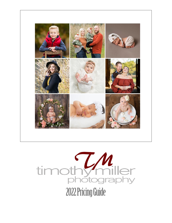

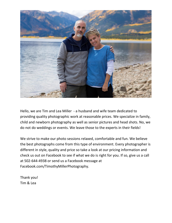

Hello, we are Tim and Lea Miller - a husband and wife team dedicated to providing quality photographic work at reasonable prices. We specialize in family, child and newborn photography as well as senior pictures and head shots. No, we do not do weddings or events. We leave those to the experts in their fields!

We strive to make our photo sessions relaxed, comfortable and fun. We believe the best photographs come from this type of environment. Every photographer is different in style, quality and price so take a look at our pricing information and check us out on Facebook to see if what we do is right for you. If so, give us a call at 502-644-4938 or send us a Facebook message at Facebook.com/TimothyMillerPhotography.

Thank you! Tim & Lea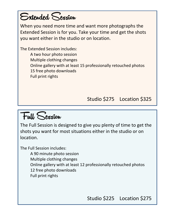#### Extended Session

When you need more time and want more photographs the Extended Session is for you. Take your time and get the shots you want either in the studio or on location.

The Extended Session includes: A two hour photo session Multiple clothing changes Online gallery with at least 15 professionally retouched photos 15 free photo downloads Full print rights

Studio \$275 Location \$325

Full Session

The Full Session is designed to give you plenty of time to get the shots you want for most situations either in the studio or on location.

The Full Session includes:

A 90 minute photo session

Multiple clothing changes

Online gallery with at least 12 professionally retouched photos

12 free photo downloads

Full print rights

Studio \$225 Location \$275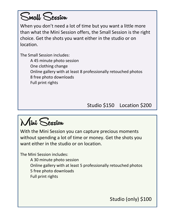

When you don't need a lot of time but you want a little more than what the Mini Session offers, the Small Session is the right choice. Get the shots you want either in the studio or on location.

The Small Session includes:

A 45 minute photo session One clothing change Online gallery with at least 8 professionally retouched photos 8 free photo downloads Full print rights

Studio \$150 Location \$200

Mini Session

With the Mini Session you can capture precious moments without spending a lot of time or money. Get the shots you want either in the studio or on location.

The Mini Session includes:

A 30 minute photo session Online gallery with at least 5 professionally retouched photos 5 free photo downloads Full print rights

Studio (only) \$100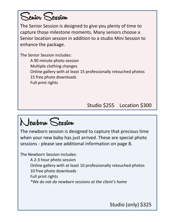

The Senior Session is designed to give you plenty of time to capture those milestone moments. Many seniors choose a Senior location session in addition to a studio Mini Session to enhance the package.

The Senior Session includes:

A 90 minute photo session Multiple clothing changes Online gallery with at least 15 professionally retouched photos 15 free photo downloads Full print rights

Studio \$255 Location \$300

## Newborn Session

The newborn session is designed to capture that precious time when your new baby has just arrived. These are special photo sessions - please see additional information on page 8.

The Newborn Session includes:

A 2-3 hour photo session Online gallery with at least 10 professionally retouched photos 10 free photo downloads Full print rights *\*We do not do newborn sessions at the client's home*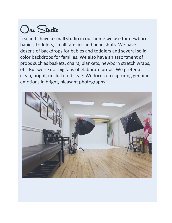# Our Studio

Lea and I have a small studio in our home we use for newborns, babies, toddlers, small families and head shots. We have dozens of backdrops for babies and toddlers and several solid color backdrops for families. We also have an assortment of props such as baskets, chairs, blankets, newborn stretch wraps, etc. But we're not big fans of elaborate props. We prefer a clean, bright, uncluttered style. We focus on capturing genuine emotions in bright, pleasant photographs!

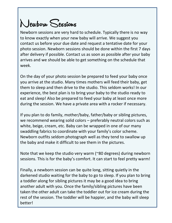## Newborn Sessions

Newborn sessions are very hard to schedule. Typically there is no way to know exactly when your new baby will arrive. We suggest you contact us before your due date and request a tentative date for your photo session. Newborn sessions should be done within the first 7 days after delivery if possible. Contact us as soon as possible after your baby arrives and we should be able to get something on the schedule that week.

On the day of your photo session be prepared to feed your baby once you arrive at the studio. Many times mothers will feed their baby, get them to sleep and then drive to the studio. This seldom works! In our experience, the best plan is to bring your baby to the studio ready to eat and sleep! Also be prepared to feed your baby at least once more during the session. We have a private area with a rocker if necessary.

If you plan to do family, mother/baby, father/baby or sibling pictures, we recommend wearing solid colors – preferably neutral colors such as white, beige, cream, etc. Baby can be wrapped in one of our many swaddling fabrics to coordinate with your family's color scheme. Newborn outfits seldom photograph well as they tend to swallow up the baby and make it difficult to see them in the pictures.

Note that we keep the studio very warm (~80 degrees) during newborn sessions. This is for the baby's comfort. It can start to feel pretty warm!

Finally, a newborn session can be quite long, sitting quietly in the darkened studio waiting for the baby to go to sleep. If you plan to bring a toddler along for sibling pictures it may be a good idea to bring another adult with you. Once the family/sibling pictures have been taken the other adult can take the toddler out for ice cream during the rest of the session. The toddler will be happier, and the baby will sleep better!